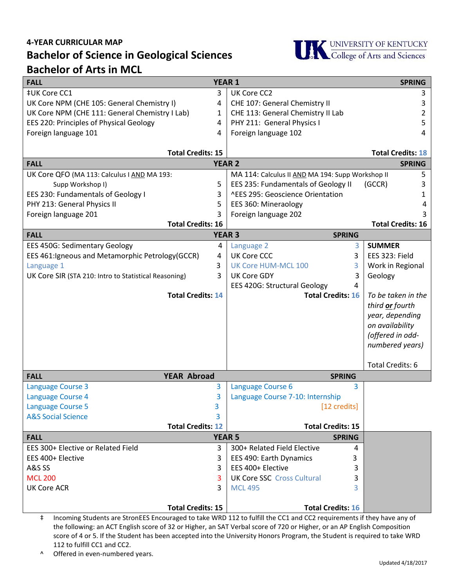## **4-YEAR CURRICULAR MAP Bachelor of Science in Geological Sciences Bachelor of Arts in MCL**



| <b>FALL</b>                                           |   | <b>YEAR 1</b>                                    | <b>SPRING</b>            |
|-------------------------------------------------------|---|--------------------------------------------------|--------------------------|
| <b>‡UK Core CC1</b>                                   | 3 | UK Core CC2                                      | 3                        |
| UK Core NPM (CHE 105: General Chemistry I)            | 4 | CHE 107: General Chemistry II                    | 3                        |
| UK Core NPM (CHE 111: General Chemistry I Lab)        | 1 | CHE 113: General Chemistry II Lab                | 2                        |
| EES 220: Principles of Physical Geology               | 4 | PHY 211: General Physics I                       | 5                        |
| Foreign language 101                                  | 4 | Foreign language 102                             | 4                        |
|                                                       |   |                                                  |                          |
| <b>Total Credits: 15</b>                              |   |                                                  | <b>Total Credits: 18</b> |
| <b>FALL</b><br><b>YEAR 2</b>                          |   |                                                  | <b>SPRING</b>            |
| UK Core QFO (MA 113: Calculus I AND MA 193:           |   | MA 114: Calculus II AND MA 194: Supp Workshop II | 5                        |
| Supp Workshop I)                                      | 5 | EES 235: Fundamentals of Geology II              | (GCCR)<br>3              |
| EES 230: Fundamentals of Geology I                    | 3 | ^EES 295: Geoscience Orientation                 |                          |
| PHY 213: General Physics II                           | 5 | EES 360: Mineraology                             | 4                        |
| Foreign language 201                                  | 3 | Foreign language 202                             |                          |
| <b>Total Credits: 16</b>                              |   |                                                  | <b>Total Credits: 16</b> |
| <b>FALL</b>                                           |   | <b>YEAR 3</b><br><b>SPRING</b>                   |                          |
| <b>EES 450G: Sedimentary Geology</b>                  | 4 | Language 2<br>3                                  | <b>SUMMER</b>            |
| EES 461: Igneous and Metamorphic Petrology (GCCR)     | 4 | <b>UK Core CCC</b><br>3                          | EES 323: Field           |
| Language 1                                            | 3 | UK Core HUM-MCL 100<br>3                         | Work in Regional         |
| UK Core SIR (STA 210: Intro to Statistical Reasoning) | 3 | <b>UK Core GDY</b><br>3                          | Geology                  |
|                                                       |   | <b>EES 420G: Structural Geology</b><br>4         |                          |
| <b>Total Credits: 14</b>                              |   | <b>Total Credits: 16</b>                         | To be taken in the       |
|                                                       |   |                                                  | third or fourth          |
|                                                       |   |                                                  | year, depending          |
|                                                       |   |                                                  | on availability          |
|                                                       |   |                                                  | (offered in odd-         |
|                                                       |   |                                                  | numbered years)          |
|                                                       |   |                                                  |                          |
|                                                       |   |                                                  | <b>Total Credits: 6</b>  |
| <b>YEAR Abroad</b><br><b>FALL</b>                     |   | <b>SPRING</b>                                    |                          |
| <b>Language Course 3</b>                              | 3 | Language Course 6<br>3                           |                          |
| Language Course 4<br>3                                |   | Language Course 7-10: Internship                 |                          |
| 3<br><b>Language Course 5</b>                         |   | [12 credits]                                     |                          |
| <b>A&amp;S Social Science</b><br>3                    |   |                                                  |                          |
| <b>Total Credits: 12</b>                              |   | <b>Total Credits: 15</b>                         |                          |
| <b>FALL</b>                                           |   | <b>YEAR 5</b><br><b>SPRING</b>                   |                          |
| EES 300+ Elective or Related Field                    | 3 | 300+ Related Field Elective<br>4                 |                          |
| EES 400+ Elective                                     | 3 | EES 490: Earth Dynamics<br>3                     |                          |
| A&S SS                                                | 3 | EES 400+ Elective<br>3                           |                          |
| <b>MCL 200</b>                                        | 3 | <b>UK Core SSC Cross Cultural</b><br>3           |                          |
| <b>UK Core ACR</b>                                    | 3 | <b>MCL 495</b><br>3                              |                          |
|                                                       |   |                                                  |                          |
| <b>Total Credits: 15</b>                              |   | <b>Total Credits: 16</b>                         |                          |

‡ Incoming Students are StronEES Encouraged to take WRD 112 to fulfill the CC1 and CC2 requirements if they have any of the following: an ACT English score of 32 or Higher, an SAT Verbal score of 720 or Higher, or an AP English Composition score of 4 or 5. If the Student has been accepted into the University Honors Program, the Student is required to take WRD 112 to fulfill CC1 and CC2.

^ Offered in even-numbered years.